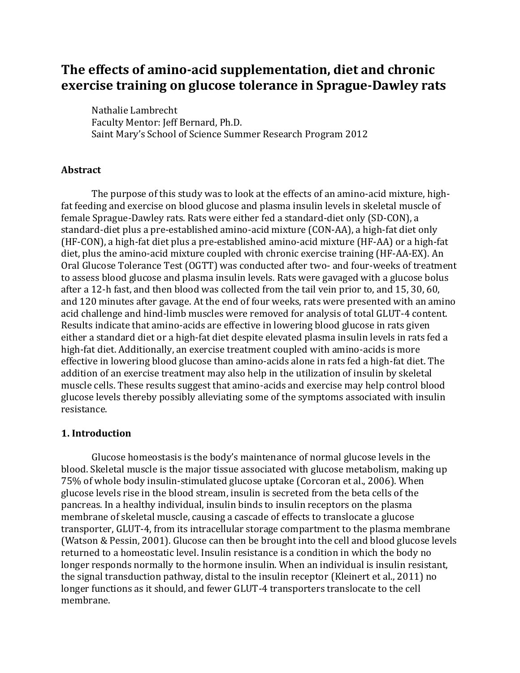# **The effects of amino-acid supplementation, diet and chronic exercise training on glucose tolerance in Sprague-Dawley rats**

Nathalie Lambrecht Faculty Mentor: Jeff Bernard, Ph.D. Saint Mary's School of Science Summer Research Program 2012

#### **Abstract**

The purpose of this study was to look at the effects of an amino-acid mixture, highfat feeding and exercise on blood glucose and plasma insulin levels in skeletal muscle of female Sprague-Dawley rats. Rats were either fed a standard-diet only (SD-CON), a standard-diet plus a pre-established amino-acid mixture (CON-AA), a high-fat diet only (HF-CON), a high-fat diet plus a pre-established amino-acid mixture (HF-AA) or a high-fat diet, plus the amino-acid mixture coupled with chronic exercise training (HF-AA-EX). An Oral Glucose Tolerance Test (OGTT) was conducted after two- and four-weeks of treatment to assess blood glucose and plasma insulin levels. Rats were gavaged with a glucose bolus after a 12-h fast, and then blood was collected from the tail vein prior to, and 15, 30, 60, and 120 minutes after gavage. At the end of four weeks, rats were presented with an amino acid challenge and hind-limb muscles were removed for analysis of total GLUT-4 content. Results indicate that amino-acids are effective in lowering blood glucose in rats given either a standard diet or a high-fat diet despite elevated plasma insulin levels in rats fed a high-fat diet. Additionally, an exercise treatment coupled with amino-acids is more effective in lowering blood glucose than amino-acids alone in rats fed a high-fat diet. The addition of an exercise treatment may also help in the utilization of insulin by skeletal muscle cells. These results suggest that amino-acids and exercise may help control blood glucose levels thereby possibly alleviating some of the symptoms associated with insulin resistance.

#### **1. Introduction**

Glucose homeostasis is the body's maintenance of normal glucose levels in the blood. Skeletal muscle is the major tissue associated with glucose metabolism, making up 75% of whole body insulin-stimulated glucose uptake (Corcoran et al., 2006). When glucose levels rise in the blood stream, insulin is secreted from the beta cells of the pancreas. In a healthy individual, insulin binds to insulin receptors on the plasma membrane of skeletal muscle, causing a cascade of effects to translocate a glucose transporter, GLUT-4, from its intracellular storage compartment to the plasma membrane (Watson & Pessin, 2001). Glucose can then be brought into the cell and blood glucose levels returned to a homeostatic level. Insulin resistance is a condition in which the body no longer responds normally to the hormone insulin. When an individual is insulin resistant, the signal transduction pathway, distal to the insulin receptor (Kleinert et al., 2011) no longer functions as it should, and fewer GLUT-4 transporters translocate to the cell membrane.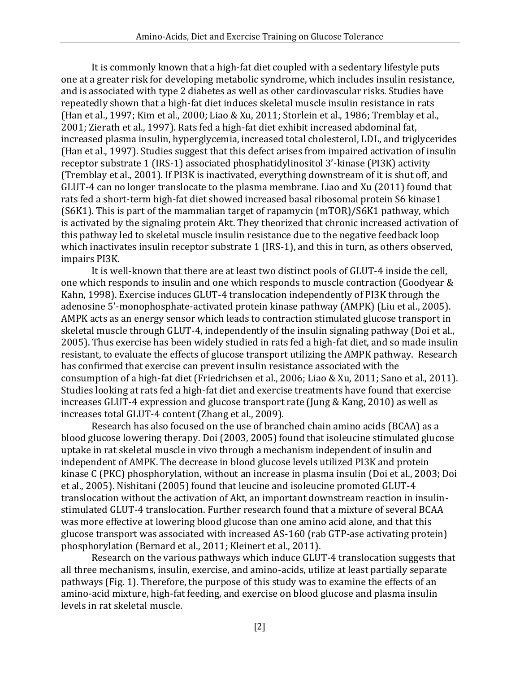It is commonly known that a high-fat diet coupled with a sedentary lifestyle puts one at a greater risk for developing metabolic syndrome, which includes insulin resistance, and is associated with type 2 diabetes as well as other cardiovascular risks. Studies have repeatedly shown that a high-fat diet induces skeletal muscle insulin resistance in rats (Han et al., 1997; Kim et al., 2000; Liao & Xu, 2011; Storlein et al., 1986; Tremblay et al., 2001; Zierath et al., 1997). Rats fed a high-fat diet exhibit increased abdominal fat, increased plasma insulin, hyperglycemia, increased total cholesterol, LDL, and triglycerides (Han et al., 1997). Studies suggest that this defect arises from impaired activation of insulin receptor substrate 1 (IRS-1) associated phosphatidylinositol 3'-kinase (PI3K) activity (Tremblay et al., 2001). If PI3K is inactivated, everything downstream of it is shut off, and GLUT-4 can no longer translocate to the plasma membrane. Liao and Xu (2011) found that rats fed a short-term high-fat diet showed increased basal ribosomal protein S6 kinase1 (S6K1). This is part of the mammalian target of rapamycin (mTOR)/S6K1 pathway, which is activated by the signaling protein Akt. They theorized that chronic increased activation of this pathway led to skeletal muscle insulin resistance due to the negative feedback loop which inactivates insulin receptor substrate 1 (IRS-1), and this in turn, as others observed, impairs PI3K.

It is well-known that there are at least two distinct pools of GLUT-4 inside the cell, one which responds to insulin and one which responds to muscle contraction (Goodyear & Kahn, 1998). Exercise induces GLUT-4 translocation independently of PI3K through the adenosine 5'-monophosphate-activated protein kinase pathway (AMPK) (Liu et al., 2005). AMPK acts as an energy sensor which leads to contraction stimulated glucose transport in skeletal muscle through GLUT-4, independently of the insulin signaling pathway (Doi et al., 2005). Thus exercise has been widely studied in rats fed a high-fat diet, and so made insulin resistant, to evaluate the effects of glucose transport utilizing the AMPK pathway. Research has confirmed that exercise can prevent insulin resistance associated with the consumption of a high-fat diet (Friedrichsen et al., 2006; Liao & Xu, 2011; Sano et al., 2011). Studies looking at rats fed a high-fat diet and exercise treatments have found that exercise increases GLUT-4 expression and glucose transport rate (Jung & Kang, 2010) as well as increases total GLUT-4 content (Zhang et al., 2009).

Research has also focused on the use of branched chain amino acids (BCAA) as a blood glucose lowering therapy. Doi (2003, 2005) found that isoleucine stimulated glucose uptake in rat skeletal muscle in vivo through a mechanism independent of insulin and independent of AMPK. The decrease in blood glucose levels utilized PI3K and protein kinase C (PKC) phosphorylation, without an increase in plasma insulin (Doi et al., 2003; Doi et al., 2005). Nishitani (2005) found that leucine and isoleucine promoted GLUT-4 translocation without the activation of Akt, an important downstream reaction in insulinstimulated GLUT-4 translocation. Further research found that a mixture of several BCAA was more effective at lowering blood glucose than one amino acid alone, and that this glucose transport was associated with increased AS-160 (rab GTP-ase activating protein) phosphorylation (Bernard et al., 2011; Kleinert et al., 2011).

Research on the various pathways which induce GLUT-4 translocation suggests that all three mechanisms, insulin, exercise, and amino-acids, utilize at least partially separate pathways (Fig. 1). Therefore, the purpose of this study was to examine the effects of an amino-acid mixture, high-fat feeding, and exercise on blood glucose and plasma insulin levels in rat skeletal muscle.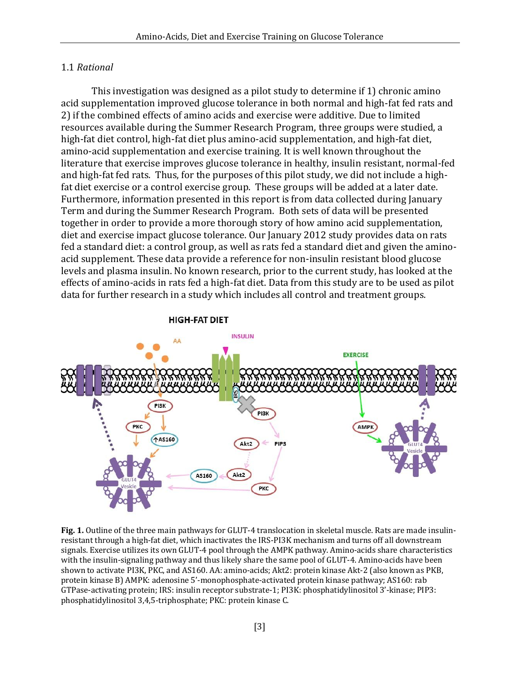#### 1.1 *Rational*

This investigation was designed as a pilot study to determine if 1) chronic amino acid supplementation improved glucose tolerance in both normal and high-fat fed rats and 2) if the combined effects of amino acids and exercise were additive. Due to limited resources available during the Summer Research Program, three groups were studied, a high-fat diet control, high-fat diet plus amino-acid supplementation, and high-fat diet, amino-acid supplementation and exercise training. It is well known throughout the literature that exercise improves glucose tolerance in healthy, insulin resistant, normal-fed and high-fat fed rats. Thus, for the purposes of this pilot study, we did not include a highfat diet exercise or a control exercise group. These groups will be added at a later date. Furthermore, information presented in this report is from data collected during January Term and during the Summer Research Program. Both sets of data will be presented together in order to provide a more thorough story of how amino acid supplementation, diet and exercise impact glucose tolerance. Our January 2012 study provides data on rats fed a standard diet: a control group, as well as rats fed a standard diet and given the aminoacid supplement. These data provide a reference for non-insulin resistant blood glucose levels and plasma insulin. No known research, prior to the current study, has looked at the effects of amino-acids in rats fed a high-fat diet. Data from this study are to be used as pilot data for further research in a study which includes all control and treatment groups.

#### **HIGH-FAT DIET**



**Fig. 1.** Outline of the three main pathways for GLUT-4 translocation in skeletal muscle. Rats are made insulinresistant through a high-fat diet, which inactivates the IRS-PI3K mechanism and turns off all downstream signals. Exercise utilizes its own GLUT-4 pool through the AMPK pathway. Amino-acids share characteristics with the insulin-signaling pathway and thus likely share the same pool of GLUT-4. Amino-acids have been shown to activate PI3K, PKC, and AS160. AA: amino-acids; Akt2: protein kinase Akt-2 (also known as PKB, protein kinase B) AMPK: adenosine 5'-monophosphate-activated protein kinase pathway; AS160: rab GTPase-activating protein; IRS: insulin receptor substrate-1; PI3K: phosphatidylinositol 3'-kinase; PIP3: phosphatidylinositol 3,4,5-triphosphate; PKC: protein kinase C.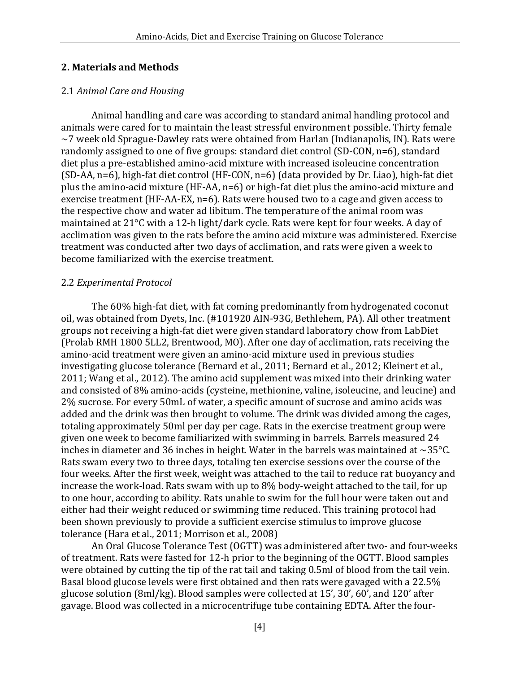### **2. Materials and Methods**

### 2.1 *Animal Care and Housing*

Animal handling and care was according to standard animal handling protocol and animals were cared for to maintain the least stressful environment possible. Thirty female  $\sim$ 7 week old Sprague-Dawley rats were obtained from Harlan (Indianapolis, IN). Rats were randomly assigned to one of five groups: standard diet control (SD-CON, n=6), standard diet plus a pre-established amino-acid mixture with increased isoleucine concentration (SD-AA, n=6), high-fat diet control (HF-CON, n=6) (data provided by Dr. Liao), high-fat diet plus the amino-acid mixture (HF-AA, n=6) or high-fat diet plus the amino-acid mixture and exercise treatment (HF-AA-EX, n=6). Rats were housed two to a cage and given access to the respective chow and water ad libitum. The temperature of the animal room was maintained at 21°C with a 12-h light/dark cycle. Rats were kept for four weeks. A day of acclimation was given to the rats before the amino acid mixture was administered. Exercise treatment was conducted after two days of acclimation, and rats were given a week to become familiarized with the exercise treatment.

#### 2.2 *Experimental Protocol*

The 60% high-fat diet, with fat coming predominantly from hydrogenated coconut oil, was obtained from Dyets, Inc. (#101920 AIN-93G, Bethlehem, PA). All other treatment groups not receiving a high-fat diet were given standard laboratory chow from LabDiet (Prolab RMH 1800 5LL2, Brentwood, MO). After one day of acclimation, rats receiving the amino-acid treatment were given an amino-acid mixture used in previous studies investigating glucose tolerance (Bernard et al., 2011; Bernard et al., 2012; Kleinert et al., 2011; Wang et al., 2012). The amino acid supplement was mixed into their drinking water and consisted of 8% amino-acids (cysteine, methionine, valine, isoleucine, and leucine) and 2% sucrose. For every 50mL of water, a specific amount of sucrose and amino acids was added and the drink was then brought to volume. The drink was divided among the cages, totaling approximately 50ml per day per cage. Rats in the exercise treatment group were given one week to become familiarized with swimming in barrels. Barrels measured 24 inches in diameter and 36 inches in height. Water in the barrels was maintained at  $\sim$ 35 $^{\circ}$ C. Rats swam every two to three days, totaling ten exercise sessions over the course of the four weeks. After the first week, weight was attached to the tail to reduce rat buoyancy and increase the work-load. Rats swam with up to 8% body-weight attached to the tail, for up to one hour, according to ability. Rats unable to swim for the full hour were taken out and either had their weight reduced or swimming time reduced. This training protocol had been shown previously to provide a sufficient exercise stimulus to improve glucose tolerance (Hara et al., 2011; Morrison et al., 2008)

An Oral Glucose Tolerance Test (OGTT) was administered after two- and four-weeks of treatment. Rats were fasted for 12-h prior to the beginning of the OGTT. Blood samples were obtained by cutting the tip of the rat tail and taking 0.5ml of blood from the tail vein. Basal blood glucose levels were first obtained and then rats were gavaged with a 22.5% glucose solution (8ml/kg). Blood samples were collected at 15', 30', 60', and 120' after gavage. Blood was collected in a microcentrifuge tube containing EDTA. After the four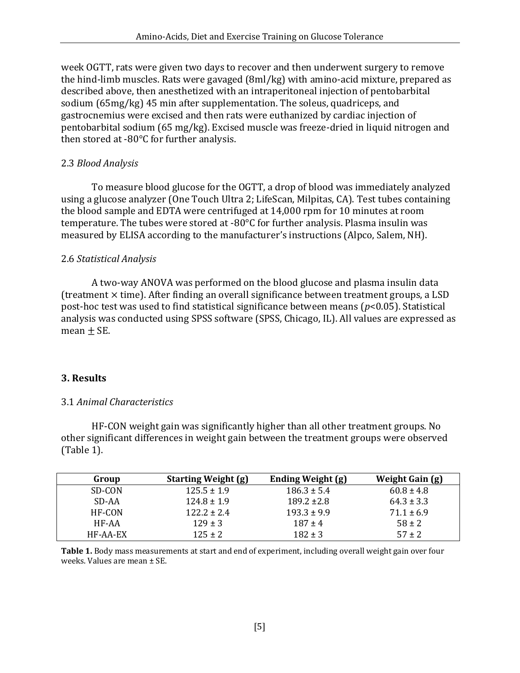week OGTT, rats were given two days to recover and then underwent surgery to remove the hind-limb muscles. Rats were gavaged (8ml/kg) with amino-acid mixture, prepared as described above, then anesthetized with an intraperitoneal injection of pentobarbital sodium (65mg/kg) 45 min after supplementation. The soleus, quadriceps, and gastrocnemius were excised and then rats were euthanized by cardiac injection of pentobarbital sodium (65 mg/kg). Excised muscle was freeze-dried in liquid nitrogen and then stored at -80°C for further analysis.

#### 2.3 *Blood Analysis*

To measure blood glucose for the OGTT, a drop of blood was immediately analyzed using a glucose analyzer (One Touch Ultra 2; LifeScan, Milpitas, CA). Test tubes containing the blood sample and EDTA were centrifuged at 14,000 rpm for 10 minutes at room temperature. The tubes were stored at -80°C for further analysis. Plasma insulin was measured by ELISA according to the manufacturer's instructions (Alpco, Salem, NH).

#### 2.6 *Statistical Analysis*

A two-way ANOVA was performed on the blood glucose and plasma insulin data (treatment  $\times$  time). After finding an overall significance between treatment groups, a LSD post-hoc test was used to find statistical significance between means (*p*<0.05). Statistical analysis was conducted using SPSS software (SPSS, Chicago, IL). All values are expressed as mean  $\pm$  SE.

#### **3. Results**

#### 3.1 *Animal Characteristics*

HF-CON weight gain was significantly higher than all other treatment groups. No other significant differences in weight gain between the treatment groups were observed (Table 1).

| Group    | <b>Starting Weight (g)</b> | <b>Ending Weight (g)</b> | Weight Gain (g) |
|----------|----------------------------|--------------------------|-----------------|
| SD-CON   | $125.5 \pm 1.9$            | $186.3 \pm 5.4$          | $60.8 \pm 4.8$  |
| SD-AA    | $124.8 \pm 1.9$            | $189.2 \pm 2.8$          | $64.3 \pm 3.3$  |
| HF-CON   | $122.2 \pm 2.4$            | $193.3 \pm 9.9$          | $71.1 \pm 6.9$  |
| HF-AA    | $129 \pm 3$                | $187 \pm 4$              | $58 \pm 2$      |
| HF-AA-EX | $125 \pm 2$                | $182 \pm 3$              | $57 \pm 2$      |

**Table 1.** Body mass measurements at start and end of experiment, including overall weight gain over four weeks. Values are mean ± SE.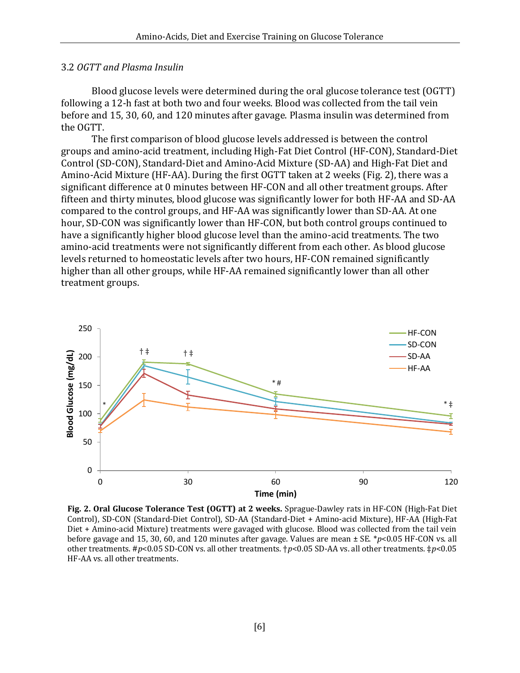#### 3.2 *OGTT and Plasma Insulin*

Blood glucose levels were determined during the oral glucose tolerance test (OGTT) following a 12-h fast at both two and four weeks. Blood was collected from the tail vein before and 15, 30, 60, and 120 minutes after gavage. Plasma insulin was determined from the OGTT.

The first comparison of blood glucose levels addressed is between the control groups and amino-acid treatment, including High-Fat Diet Control (HF-CON), Standard-Diet Control (SD-CON), Standard-Diet and Amino-Acid Mixture (SD-AA) and High-Fat Diet and Amino-Acid Mixture (HF-AA). During the first OGTT taken at 2 weeks (Fig. 2), there was a significant difference at 0 minutes between HF-CON and all other treatment groups. After fifteen and thirty minutes, blood glucose was significantly lower for both HF-AA and SD-AA compared to the control groups, and HF-AA was significantly lower than SD-AA. At one hour, SD-CON was significantly lower than HF-CON, but both control groups continued to have a significantly higher blood glucose level than the amino-acid treatments. The two amino-acid treatments were not significantly different from each other. As blood glucose levels returned to homeostatic levels after two hours, HF-CON remained significantly higher than all other groups, while HF-AA remained significantly lower than all other treatment groups.



**Fig. 2. Oral Glucose Tolerance Test (OGTT) at 2 weeks.** Sprague-Dawley rats in HF-CON (High-Fat Diet Control), SD-CON (Standard-Diet Control), SD-AA (Standard-Diet + Amino-acid Mixture), HF-AA (High-Fat Diet + Amino-acid Mixture) treatments were gavaged with glucose. Blood was collected from the tail vein before gavage and 15, 30, 60, and 120 minutes after gavage. Values are mean ± SE. \**p*<0.05 HF-CON vs. all other treatments. #*p*<0.05 SD-CON vs. all other treatments. †*p*<0.05 SD-AA vs. all other treatments. ‡*p*<0.05 HF-AA vs. all other treatments.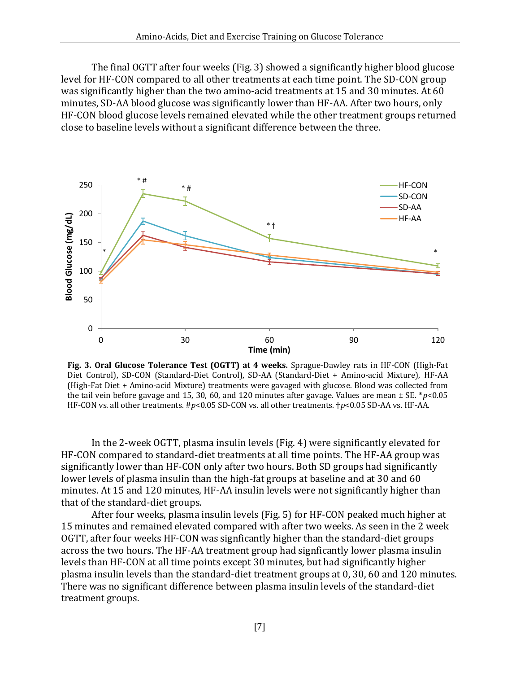The final OGTT after four weeks (Fig. 3) showed a significantly higher blood glucose level for HF-CON compared to all other treatments at each time point. The SD-CON group was significantly higher than the two amino-acid treatments at 15 and 30 minutes. At 60 minutes, SD-AA blood glucose was significantly lower than HF-AA. After two hours, only HF-CON blood glucose levels remained elevated while the other treatment groups returned close to baseline levels without a significant difference between the three.



**Fig. 3. Oral Glucose Tolerance Test (OGTT) at 4 weeks.** Sprague-Dawley rats in HF-CON (High-Fat Diet Control), SD-CON (Standard-Diet Control), SD-AA (Standard-Diet + Amino-acid Mixture), HF-AA (High-Fat Diet + Amino-acid Mixture) treatments were gavaged with glucose. Blood was collected from the tail vein before gavage and 15, 30, 60, and 120 minutes after gavage. Values are mean ± SE. \**p*<0.05 HF-CON vs. all other treatments. #*p*<0.05 SD-CON vs. all other treatments. †*p*<0.05 SD-AA vs. HF-AA.

In the 2-week OGTT, plasma insulin levels (Fig. 4) were significantly elevated for HF-CON compared to standard-diet treatments at all time points. The HF-AA group was significantly lower than HF-CON only after two hours. Both SD groups had significantly lower levels of plasma insulin than the high-fat groups at baseline and at 30 and 60 minutes. At 15 and 120 minutes, HF-AA insulin levels were not significantly higher than that of the standard-diet groups.

After four weeks, plasma insulin levels (Fig. 5) for HF-CON peaked much higher at 15 minutes and remained elevated compared with after two weeks. As seen in the 2 week OGTT, after four weeks HF-CON was signficantly higher than the standard-diet groups across the two hours. The HF-AA treatment group had signficantly lower plasma insulin levels than HF-CON at all time points except 30 minutes, but had significantly higher plasma insulin levels than the standard-diet treatment groups at 0, 30, 60 and 120 minutes. There was no significant difference between plasma insulin levels of the standard-diet treatment groups.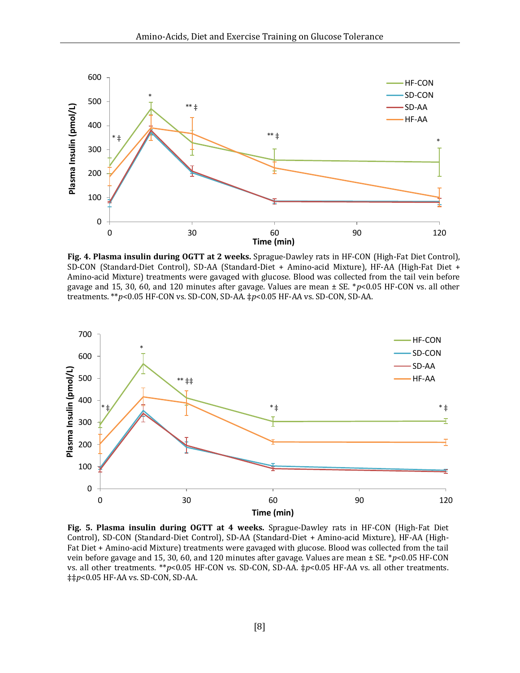

**Fig. 4. Plasma insulin during OGTT at 2 weeks.** Sprague-Dawley rats in HF-CON (High-Fat Diet Control), SD-CON (Standard-Diet Control), SD-AA (Standard-Diet + Amino-acid Mixture), HF-AA (High-Fat Diet + Amino-acid Mixture) treatments were gavaged with glucose. Blood was collected from the tail vein before gavage and 15, 30, 60, and 120 minutes after gavage. Values are mean ± SE. \**p*<0.05 HF-CON vs. all other treatments. \*\**p*<0.05 HF-CON vs. SD-CON, SD-AA. ‡*p*<0.05 HF-AA vs. SD-CON, SD-AA.



**Fig. 5. Plasma insulin during OGTT at 4 weeks.** Sprague-Dawley rats in HF-CON (High-Fat Diet Control), SD-CON (Standard-Diet Control), SD-AA (Standard-Diet + Amino-acid Mixture), HF-AA (High-Fat Diet + Amino-acid Mixture) treatments were gavaged with glucose. Blood was collected from the tail vein before gavage and 15, 30, 60, and 120 minutes after gavage. Values are mean ± SE. \**p*<0.05 HF-CON vs. all other treatments. \*\**p*<0.05 HF-CON vs. SD-CON, SD-AA. ‡*p*<0.05 HF-AA vs. all other treatments. ‡‡*p*<0.05 HF-AA vs. SD-CON, SD-AA.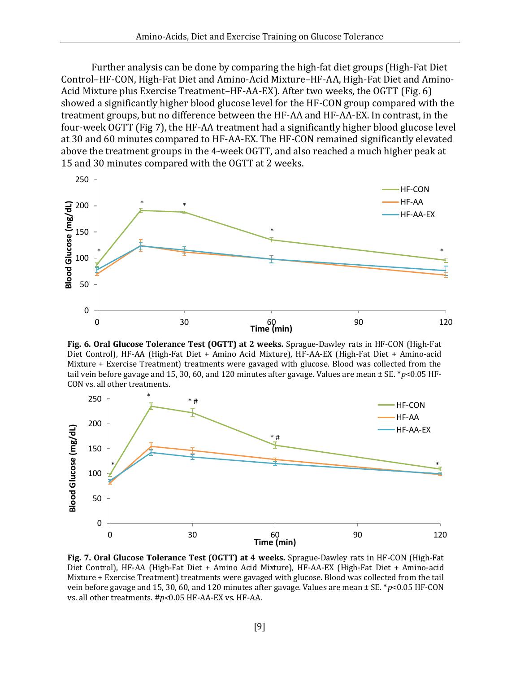Further analysis can be done by comparing the high-fat diet groups (High-Fat Diet Control–HF-CON, High-Fat Diet and Amino-Acid Mixture–HF-AA, High-Fat Diet and Amino-Acid Mixture plus Exercise Treatment–HF-AA-EX). After two weeks, the OGTT (Fig. 6) showed a significantly higher blood glucose level for the HF-CON group compared with the treatment groups, but no difference between the HF-AA and HF-AA-EX. In contrast, in the four-week OGTT (Fig 7), the HF-AA treatment had a significantly higher blood glucose level at 30 and 60 minutes compared to HF-AA-EX. The HF-CON remained significantly elevated above the treatment groups in the 4-week OGTT, and also reached a much higher peak at 15 and 30 minutes compared with the OGTT at 2 weeks.



**Fig. 6. Oral Glucose Tolerance Test (OGTT) at 2 weeks.** Sprague-Dawley rats in HF-CON (High-Fat Diet Control), HF-AA (High-Fat Diet + Amino Acid Mixture), HF-AA-EX (High-Fat Diet + Amino-acid Mixture + Exercise Treatment) treatments were gavaged with glucose. Blood was collected from the tail vein before gavage and 15, 30, 60, and 120 minutes after gavage. Values are mean ± SE. \**p*<0.05 HF-CON vs. all other treatments.



**Fig. 7. Oral Glucose Tolerance Test (OGTT) at 4 weeks.** Sprague-Dawley rats in HF-CON (High-Fat Diet Control), HF-AA (High-Fat Diet + Amino Acid Mixture), HF-AA-EX (High-Fat Diet + Amino-acid Mixture + Exercise Treatment) treatments were gavaged with glucose. Blood was collected from the tail vein before gavage and 15, 30, 60, and 120 minutes after gavage. Values are mean ± SE. \**p*<0.05 HF-CON vs. all other treatments. #*p<*0.05 HF-AA-EX vs. HF-AA.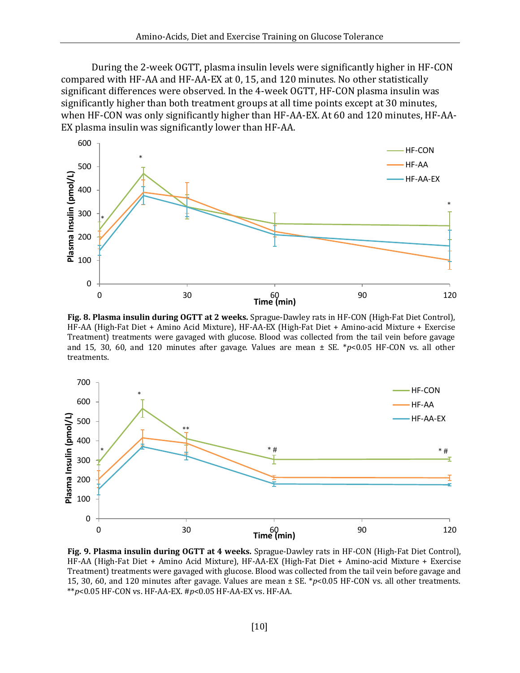During the 2-week OGTT, plasma insulin levels were significantly higher in HF-CON compared with HF-AA and HF-AA-EX at 0, 15, and 120 minutes. No other statistically significant differences were observed. In the 4-week OGTT, HF-CON plasma insulin was significantly higher than both treatment groups at all time points except at 30 minutes, when HF-CON was only significantly higher than HF-AA-EX. At 60 and 120 minutes, HF-AA-EX plasma insulin was significantly lower than HF-AA.



**Fig. 8. Plasma insulin during OGTT at 2 weeks.** Sprague-Dawley rats in HF-CON (High-Fat Diet Control), HF-AA (High-Fat Diet + Amino Acid Mixture), HF-AA-EX (High-Fat Diet + Amino-acid Mixture + Exercise Treatment) treatments were gavaged with glucose. Blood was collected from the tail vein before gavage and 15, 30, 60, and 120 minutes after gavage. Values are mean ± SE. \**p*<0.05 HF-CON vs. all other treatments.



**Fig. 9. Plasma insulin during OGTT at 4 weeks.** Sprague-Dawley rats in HF-CON (High-Fat Diet Control), HF-AA (High-Fat Diet + Amino Acid Mixture), HF-AA-EX (High-Fat Diet + Amino-acid Mixture + Exercise Treatment) treatments were gavaged with glucose. Blood was collected from the tail vein before gavage and 15, 30, 60, and 120 minutes after gavage. Values are mean ± SE. \**p*<0.05 HF-CON vs. all other treatments. \*\**p*<0.05 HF-CON vs. HF-AA-EX. #*p*<0.05 HF-AA-EX vs. HF-AA.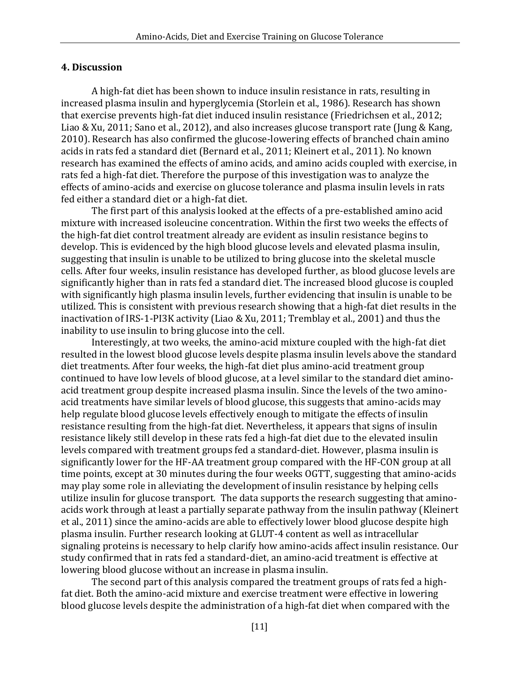#### **4. Discussion**

A high-fat diet has been shown to induce insulin resistance in rats, resulting in increased plasma insulin and hyperglycemia (Storlein et al., 1986). Research has shown that exercise prevents high-fat diet induced insulin resistance (Friedrichsen et al., 2012; Liao & Xu, 2011; Sano et al., 2012), and also increases glucose transport rate (Jung & Kang, 2010). Research has also confirmed the glucose-lowering effects of branched chain amino acids in rats fed a standard diet (Bernard et al., 2011; Kleinert et al., 2011). No known research has examined the effects of amino acids, and amino acids coupled with exercise, in rats fed a high-fat diet. Therefore the purpose of this investigation was to analyze the effects of amino-acids and exercise on glucose tolerance and plasma insulin levels in rats fed either a standard diet or a high-fat diet.

The first part of this analysis looked at the effects of a pre-established amino acid mixture with increased isoleucine concentration. Within the first two weeks the effects of the high-fat diet control treatment already are evident as insulin resistance begins to develop. This is evidenced by the high blood glucose levels and elevated plasma insulin, suggesting that insulin is unable to be utilized to bring glucose into the skeletal muscle cells. After four weeks, insulin resistance has developed further, as blood glucose levels are significantly higher than in rats fed a standard diet. The increased blood glucose is coupled with significantly high plasma insulin levels, further evidencing that insulin is unable to be utilized. This is consistent with previous research showing that a high-fat diet results in the inactivation of IRS-1-PI3K activity (Liao & Xu, 2011; Tremblay et al., 2001) and thus the inability to use insulin to bring glucose into the cell.

Interestingly, at two weeks, the amino-acid mixture coupled with the high-fat diet resulted in the lowest blood glucose levels despite plasma insulin levels above the standard diet treatments. After four weeks, the high-fat diet plus amino-acid treatment group continued to have low levels of blood glucose, at a level similar to the standard diet aminoacid treatment group despite increased plasma insulin. Since the levels of the two aminoacid treatments have similar levels of blood glucose, this suggests that amino-acids may help regulate blood glucose levels effectively enough to mitigate the effects of insulin resistance resulting from the high-fat diet. Nevertheless, it appears that signs of insulin resistance likely still develop in these rats fed a high-fat diet due to the elevated insulin levels compared with treatment groups fed a standard-diet. However, plasma insulin is significantly lower for the HF-AA treatment group compared with the HF-CON group at all time points, except at 30 minutes during the four weeks OGTT, suggesting that amino-acids may play some role in alleviating the development of insulin resistance by helping cells utilize insulin for glucose transport. The data supports the research suggesting that aminoacids work through at least a partially separate pathway from the insulin pathway (Kleinert et al., 2011) since the amino-acids are able to effectively lower blood glucose despite high plasma insulin. Further research looking at GLUT-4 content as well as intracellular signaling proteins is necessary to help clarify how amino-acids affect insulin resistance. Our study confirmed that in rats fed a standard-diet, an amino-acid treatment is effective at lowering blood glucose without an increase in plasma insulin.

The second part of this analysis compared the treatment groups of rats fed a highfat diet. Both the amino-acid mixture and exercise treatment were effective in lowering blood glucose levels despite the administration of a high-fat diet when compared with the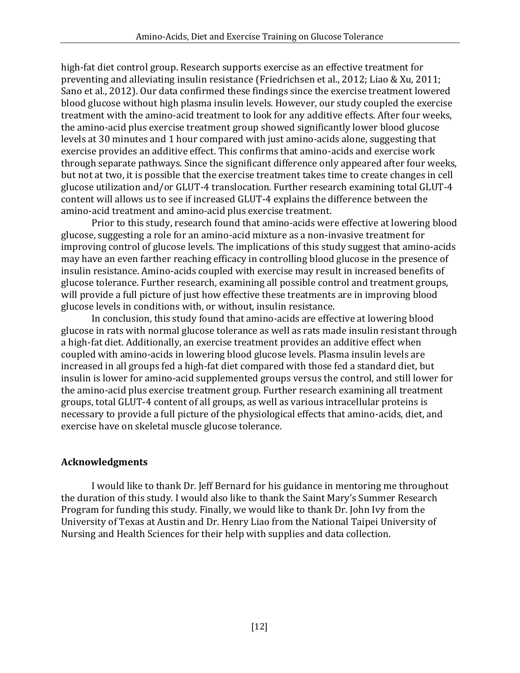high-fat diet control group. Research supports exercise as an effective treatment for preventing and alleviating insulin resistance (Friedrichsen et al., 2012; Liao & Xu, 2011; Sano et al., 2012). Our data confirmed these findings since the exercise treatment lowered blood glucose without high plasma insulin levels. However, our study coupled the exercise treatment with the amino-acid treatment to look for any additive effects. After four weeks, the amino-acid plus exercise treatment group showed significantly lower blood glucose levels at 30 minutes and 1 hour compared with just amino-acids alone, suggesting that exercise provides an additive effect. This confirms that amino-acids and exercise work through separate pathways. Since the significant difference only appeared after four weeks, but not at two, it is possible that the exercise treatment takes time to create changes in cell glucose utilization and/or GLUT-4 translocation. Further research examining total GLUT-4 content will allows us to see if increased GLUT-4 explains the difference between the amino-acid treatment and amino-acid plus exercise treatment.

Prior to this study, research found that amino-acids were effective at lowering blood glucose, suggesting a role for an amino-acid mixture as a non-invasive treatment for improving control of glucose levels. The implications of this study suggest that amino-acids may have an even farther reaching efficacy in controlling blood glucose in the presence of insulin resistance. Amino-acids coupled with exercise may result in increased benefits of glucose tolerance. Further research, examining all possible control and treatment groups, will provide a full picture of just how effective these treatments are in improving blood glucose levels in conditions with, or without, insulin resistance.

In conclusion, this study found that amino-acids are effective at lowering blood glucose in rats with normal glucose tolerance as well as rats made insulin resistant through a high-fat diet. Additionally, an exercise treatment provides an additive effect when coupled with amino-acids in lowering blood glucose levels. Plasma insulin levels are increased in all groups fed a high-fat diet compared with those fed a standard diet, but insulin is lower for amino-acid supplemented groups versus the control, and still lower for the amino-acid plus exercise treatment group. Further research examining all treatment groups, total GLUT-4 content of all groups, as well as various intracellular proteins is necessary to provide a full picture of the physiological effects that amino-acids, diet, and exercise have on skeletal muscle glucose tolerance.

## **Acknowledgments**

I would like to thank Dr. Jeff Bernard for his guidance in mentoring me throughout the duration of this study. I would also like to thank the Saint Mary's Summer Research Program for funding this study. Finally, we would like to thank Dr. John Ivy from the University of Texas at Austin and Dr. Henry Liao from the National Taipei University of Nursing and Health Sciences for their help with supplies and data collection.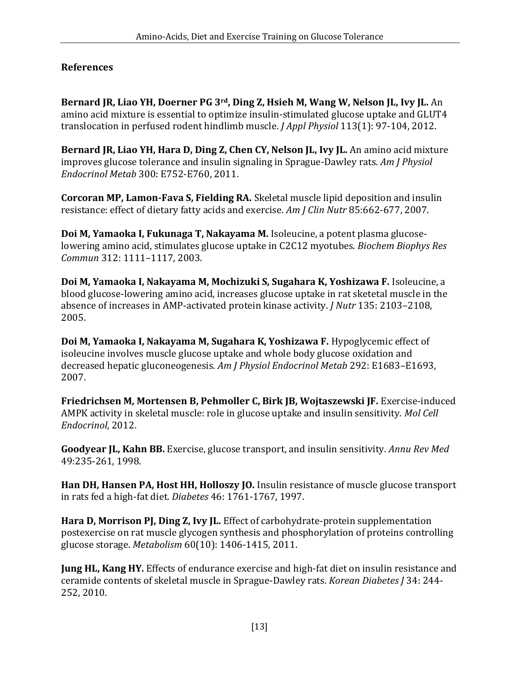# **References**

**Bernard JR, Liao YH, Doerner PG 3rd, Ding Z, Hsieh M, Wang W, Nelson JL, Ivy JL.** An amino acid mixture is essential to optimize insulin-stimulated glucose uptake and GLUT4 translocation in perfused rodent hindlimb muscle. *J Appl Physiol* 113(1): 97-104, 2012.

**Bernard JR, Liao YH, Hara D, Ding Z, Chen CY, Nelson JL, Ivy JL.** An amino acid mixture improves glucose tolerance and insulin signaling in Sprague-Dawley rats. *Am J Physiol Endocrinol Metab* 300: E752-E760, 2011.

**Corcoran MP, Lamon-Fava S, Fielding RA.** Skeletal muscle lipid deposition and insulin resistance: effect of dietary fatty acids and exercise. *Am J Clin Nutr* 85:662-677, 2007.

**Doi M, Yamaoka I, Fukunaga T, Nakayama M.** Isoleucine, a potent plasma glucoselowering amino acid, stimulates glucose uptake in C2C12 myotubes. *Biochem Biophys Res Commun* 312: 1111–1117, 2003.

**Doi M, Yamaoka I, Nakayama M, Mochizuki S, Sugahara K, Yoshizawa F.** Isoleucine, a blood glucose-lowering amino acid, increases glucose uptake in rat sketetal muscle in the absence of increases in AMP-activated protein kinase activity. *J Nutr* 135: 2103–2108, 2005.

**Doi M, Yamaoka I, Nakayama M, Sugahara K, Yoshizawa F.** Hypoglycemic effect of isoleucine involves muscle glucose uptake and whole body glucose oxidation and decreased hepatic gluconeogenesis. *Am J Physiol Endocrinol Metab* 292: E1683–E1693, 2007.

**Friedrichsen M, Mortensen B, Pehmoller C, Birk JB, Wojtaszewski JF.** Exercise-induced AMPK activity in skeletal muscle: role in glucose uptake and insulin sensitivity. *Mol Cell Endocrinol*, 2012.

**Goodyear JL, Kahn BB.** Exercise, glucose transport, and insulin sensitivity. *Annu Rev Med* 49:235-261, 1998.

**Han DH, Hansen PA, Host HH, Holloszy JO.** Insulin resistance of muscle glucose transport in rats fed a high-fat diet. *Diabetes* 46: 1761-1767, 1997.

**Hara D, Morrison PJ, Ding Z, Ivy JL.** Effect of carbohydrate-protein supplementation postexercise on rat muscle glycogen synthesis and phosphorylation of proteins controlling glucose storage. *Metabolism* 60(10): 1406-1415, 2011.

**Jung HL, Kang HY.** Effects of endurance exercise and high-fat diet on insulin resistance and ceramide contents of skeletal muscle in Sprague-Dawley rats. *Korean Diabetes J* 34: 244- 252, 2010.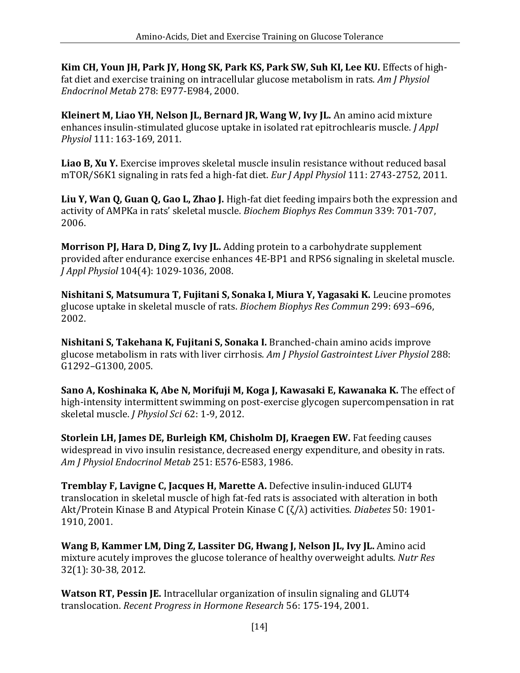**Kim CH, Youn JH, Park JY, Hong SK, Park KS, Park SW, Suh KI, Lee KU.** Effects of highfat diet and exercise training on intracellular glucose metabolism in rats. *Am J Physiol Endocrinol Metab* 278: E977-E984, 2000.

**Kleinert M, Liao YH, Nelson JL, Bernard JR, Wang W, Ivy JL.** An amino acid mixture enhances insulin-stimulated glucose uptake in isolated rat epitrochlearis muscle. *J Appl Physiol* 111: 163-169, 2011.

**Liao B, Xu Y.** Exercise improves skeletal muscle insulin resistance without reduced basal mTOR/S6K1 signaling in rats fed a high-fat diet. *Eur J Appl Physiol* 111: 2743-2752, 2011.

Liu Y, Wan Q, Guan Q, Gao L, Zhao J. High-fat diet feeding impairs both the expression and activity of AMPKa in rats' skeletal muscle. *Biochem Biophys Res Commun* 339: 701-707, 2006.

**Morrison PJ, Hara D, Ding Z, Ivy JL.** Adding protein to a carbohydrate supplement provided after endurance exercise enhances 4E-BP1 and RPS6 signaling in skeletal muscle. *J Appl Physiol* 104(4): 1029-1036, 2008.

**Nishitani S, Matsumura T, Fujitani S, Sonaka I, Miura Y, Yagasaki K.** Leucine promotes glucose uptake in skeletal muscle of rats. *Biochem Biophys Res Commun* 299: 693–696, 2002.

**Nishitani S, Takehana K, Fujitani S, Sonaka I.** Branched-chain amino acids improve glucose metabolism in rats with liver cirrhosis. *Am J Physiol Gastrointest Liver Physiol* 288: G1292–G1300, 2005.

**Sano A, Koshinaka K, Abe N, Morifuji M, Koga J, Kawasaki E, Kawanaka K.** The effect of high-intensity intermittent swimming on post-exercise glycogen supercompensation in rat skeletal muscle. *J Physiol Sci* 62: 1-9, 2012.

**Storlein LH, James DE, Burleigh KM, Chisholm DJ, Kraegen EW.** Fat feeding causes widespread in vivo insulin resistance, decreased energy expenditure, and obesity in rats. *Am J Physiol Endocrinol Metab* 251: E576-E583, 1986.

**Tremblay F, Lavigne C, Jacques H, Marette A.** Defective insulin-induced GLUT4 translocation in skeletal muscle of high fat-fed rats is associated with alteration in both Akt/Protein Kinase B and Atypical Protein Kinase C (ζ/λ) activities. *Diabetes* 50: 1901- 1910, 2001.

**Wang B, Kammer LM, Ding Z, Lassiter DG, Hwang J, Nelson JL, Ivy JL.** Amino acid mixture acutely improves the glucose tolerance of healthy overweight adults. *Nutr Res* 32(1): 30-38, 2012.

**Watson RT, Pessin JE.** Intracellular organization of insulin signaling and GLUT4 translocation. *Recent Progress in Hormone Research* 56: 175-194, 2001.